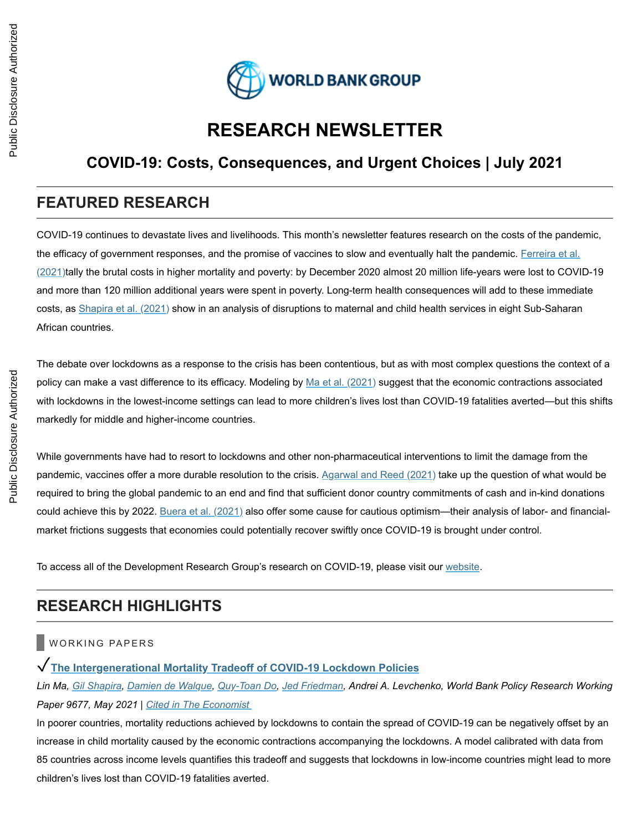

# **RESEARCH NEWSLETTER**

# **COVID-19: Costs, Consequences, and Urgent Choices | July 2021**

# **FEATURED RESEARCH**

COVID-19 continues to devastate lives and livelihoods. This month's newsletter features research on the costs of the pandemic, the efficacy of government responses, and the promise of vaccines to slow and eventually halt the pandemic. Ferreira et al. [\(2021\)tally the brutal costs in higher mortality and poverty: by December 2020 almost 20 million life-years were lost to COVI](http://t.newsletterext.worldbank.org/r/?id=h1282cb18,68a7634,68bd191)D-19 and more than 120 million additional years were spent in poverty. Long-term health consequences will add to these immediate costs, as [Shapira et al. \(2021\)](http://t.newsletterext.worldbank.org/r/?id=h1282cb18,68a7634,68bd192) show in an analysis of disruptions to maternal and child health services in eight Sub-Saharan African countries.

The debate over lockdowns as a response to the crisis has been contentious, but as with most complex questions the context of a policy can make a vast difference to its efficacy. Modeling by [Ma et al. \(2021\)](http://t.newsletterext.worldbank.org/r/?id=h1282cb18,68a7634,68bd193) suggest that the economic contractions associated with lockdowns in the lowest-income settings can lead to more children's lives lost than COVID-19 fatalities averted—but this shifts markedly for middle and higher-income countries.

While governments have had to resort to lockdowns and other non-pharmaceutical interventions to limit the damage from the pandemic, vaccines offer a more durable resolution to the crisis. [Agarwal and Reed \(2021\)](http://t.newsletterext.worldbank.org/r/?id=h1282cb18,68a7634,68bd194) take up the question of what would be required to bring the global pandemic to an end and find that sufficient donor country commitments of cash and in-kind donations could achieve this by 2022. [Buera et al. \(2021\)](http://t.newsletterext.worldbank.org/r/?id=h1282cb18,68a7634,68bd195) also offer some cause for cautious optimism—their analysis of labor- and financialmarket frictions suggests that economies could potentially recover swiftly once COVID-19 is brought under control.

To access all of the Development Research Group's research on COVID-19, please visit our [website.](http://t.newsletterext.worldbank.org/r/?id=h1282cb18,68a7634,68bd196)

# **RESEARCH HIGHLIGHTS**

### WORKING PAPERS

### ✓**[The Intergenerational Mortality Tradeoff of COVID-19 Lockdown Policies](http://t.newsletterext.worldbank.org/r/?id=h1282cb18,68a7634,68bd197)**

*Lin Ma, [Gil Shapira,](http://t.newsletterext.worldbank.org/r/?id=h1282cb18,68a7634,68bd19f) [Damien de Walque,](http://t.newsletterext.worldbank.org/r/?id=h1282cb18,68a7634,68bd19b) [Quy-Toan Do](http://t.newsletterext.worldbank.org/r/?id=h1282cb18,68a7634,68bd19c), [Jed Friedman,](http://t.newsletterext.worldbank.org/r/?id=h1282cb18,68a7634,68bd19e) Andrei A. Levchenko, World Bank Policy Research Working Paper 9677, May 2021 | [Cited in The Economist](http://t.newsletterext.worldbank.org/r/?id=h1282cb18,68a7634,68bd1a1)*

In poorer countries, mortality reductions achieved by lockdowns to contain the spread of COVID-19 can be negatively offset by an increase in child mortality caused by the economic contractions accompanying the lockdowns. A model calibrated with data from 85 countries across income levels quantifies this tradeoff and suggests that lockdowns in low-income countries might lead to more children's lives lost than COVID-19 fatalities averted.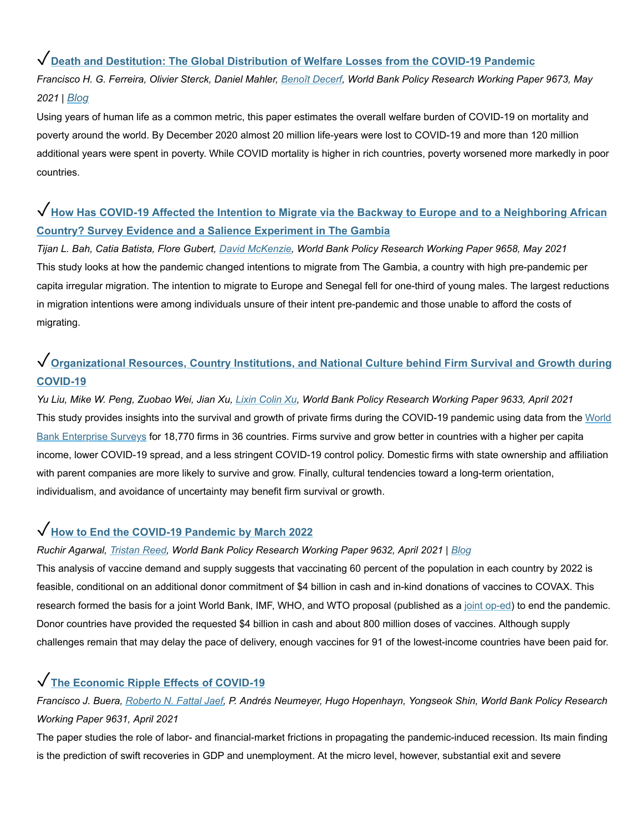### ✓**[Death and Destitution: The Global Distribution of Welfare Losses from the COVID-19 Pandemic](http://t.newsletterext.worldbank.org/r/?id=h1282cb18,68a7634,68bd1a2)**

*Francisco H. G. Ferreira, Olivier Sterck, Daniel Mahler, [Benoît Decerf,](http://t.newsletterext.worldbank.org/r/?id=h1282cb18,68a7634,68bd1a3) World Bank Policy Research Working Paper 9673, May 2021 | [Blog](http://t.newsletterext.worldbank.org/r/?id=h1282cb18,68a7634,68bd1a4)*

Using years of human life as a common metric, this paper estimates the overall welfare burden of COVID-19 on mortality and poverty around the world. By December 2020 almost 20 million life-years were lost to COVID-19 and more than 120 million additional years were spent in poverty. While COVID mortality is higher in rich countries, poverty worsened more markedly in poor countries.

# ✓**[How Has COVID-19 Affected the Intention to Migrate via the Backway to Europe and to a Neighboring African](http://t.newsletterext.worldbank.org/r/?id=h1282cb18,68a7634,68bd1a5) Country? Survey Evidence and a Salience Experiment in The Gambia**

*Tijan L. Bah, Catia Batista, Flore Gubert, [David McKenzie,](http://t.newsletterext.worldbank.org/r/?id=h1282cb18,68a7634,68bd1c4) World Bank Policy Research Working Paper 9658, May 2021* This study looks at how the pandemic changed intentions to migrate from The Gambia, a country with high pre-pandemic per capita irregular migration. The intention to migrate to Europe and Senegal fell for one-third of young males. The largest reductions in migration intentions were among individuals unsure of their intent pre-pandemic and those unable to afford the costs of migrating.

# ✓**[Organizational Resources, Country Institutions, and National Culture behind Firm Survival and Growth during](http://t.newsletterext.worldbank.org/r/?id=h1282cb18,68a7634,68bd1c5) COVID-19**

*Yu Liu, Mike W. Peng, Zuobao Wei, Jian Xu, [Lixin Colin Xu](http://t.newsletterext.worldbank.org/r/?id=h1282cb18,68a7634,68bd1c6), World Bank Policy Research Working Paper 9633, April 2021* [This study provides insights into the survival and growth of private firms during the COVID-19 pandemic using data from the](http://t.newsletterext.worldbank.org/r/?id=h1282cb18,68a7634,68bd1c7) World Bank Enterprise Surveys for 18,770 firms in 36 countries. Firms survive and grow better in countries with a higher per capita income, lower COVID-19 spread, and a less stringent COVID-19 control policy. Domestic firms with state ownership and affiliation with parent companies are more likely to survive and grow. Finally, cultural tendencies toward a long-term orientation, individualism, and avoidance of uncertainty may benefit firm survival or growth.

### ✓**[How to End the COVID-19 Pandemic by March 2022](http://t.newsletterext.worldbank.org/r/?id=h1282cb18,68a7634,68bd1c8)**

#### *Ruchir Agarwal, [Tristan Reed,](http://t.newsletterext.worldbank.org/r/?id=h1282cb18,68a7634,68bd1c9) World Bank Policy Research Working Paper 9632, April 2021 | [Blog](http://t.newsletterext.worldbank.org/r/?id=h1282cb18,68a7634,68bd1ca)*

This analysis of vaccine demand and supply suggests that vaccinating 60 percent of the population in each country by 2022 is feasible, conditional on an additional donor commitment of \$4 billion in cash and in-kind donations of vaccines to COVAX. This research formed the basis for a joint World Bank, IMF, WHO, and WTO proposal (published as a [joint op-ed\)](http://t.newsletterext.worldbank.org/r/?id=h1282cb18,68a7634,68bd1cb) to end the pandemic. Donor countries have provided the requested \$4 billion in cash and about 800 million doses of vaccines. Although supply challenges remain that may delay the pace of delivery, enough vaccines for 91 of the lowest-income countries have been paid for.

### ✓**[The Economic Ripple Effects of COVID-19](http://t.newsletterext.worldbank.org/r/?id=h1282cb18,68a7634,68bd1cc)**

*Francisco J. Buera, [Roberto N. Fattal Jaef,](http://t.newsletterext.worldbank.org/r/?id=h1282cb18,68a7634,68bd1cd) P. Andrés Neumeyer, Hugo Hopenhayn, Yongseok Shin, World Bank Policy Research Working Paper 9631, April 2021*

The paper studies the role of labor- and financial-market frictions in propagating the pandemic-induced recession. Its main finding is the prediction of swift recoveries in GDP and unemployment. At the micro level, however, substantial exit and severe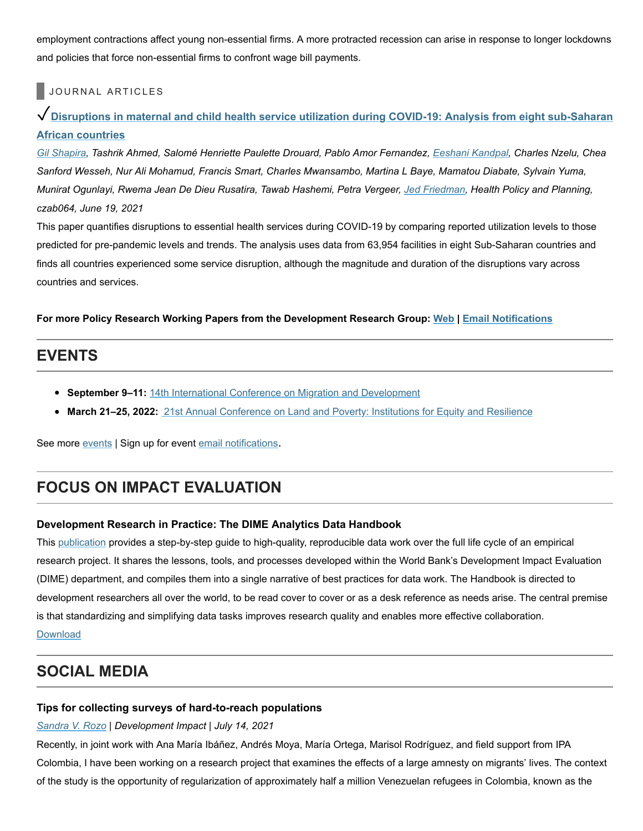employment contractions affect young non-essential firms. A more protracted recession can arise in response to longer lockdowns and policies that force non-essential firms to confront wage bill payments.

#### JOURNAL ARTICLES

## ✓**[Disruptions in maternal and child health service utilization during COVID-19: Analysis from eight sub-Saharan](http://t.newsletterext.worldbank.org/r/?id=h1282cb18,68a7634,68bd1ce) African countries**

*[Gil Shapira,](http://t.newsletterext.worldbank.org/r/?id=h1282cb18,68a7634,68bd1cf) Tashrik Ahmed, Salomé Henriette Paulette Drouard, Pablo Amor Fernandez, [Eeshani Kandpal](http://t.newsletterext.worldbank.org/r/?id=h1282cb18,68a7634,68bd19d), Charles Nzelu, Chea Sanford Wesseh, Nur Ali Mohamud, Francis Smart, Charles Mwansambo, Martina L Baye, Mamatou Diabate, Sylvain Yuma, Munirat Ogunlayi, Rwema Jean De Dieu Rusatira, Tawab Hashemi, Petra Vergeer, [Jed Friedman](http://t.newsletterext.worldbank.org/r/?id=h1282cb18,68a7634,68bd1a0), Health Policy and Planning, czab064, June 19, 2021*

This paper quantifies disruptions to essential health services during COVID-19 by comparing reported utilization levels to those predicted for pre-pandemic levels and trends. The analysis uses data from 63,954 facilities in eight Sub-Saharan countries and finds all countries experienced some service disruption, although the magnitude and duration of the disruptions vary across countries and services.

**For more Policy Research Working Papers from the Development Research Group: [Web](http://t.newsletterext.worldbank.org/r/?id=h1282cb18,68a7634,68bd198) | [Email Notifications](http://t.newsletterext.worldbank.org/r/?id=h1282cb18,68a7634,68bd199)**

### **EVENTS**

- **September 9–11:** [14th International Conference on Migration and Development](http://t.newsletterext.worldbank.org/r/?id=h1282cb18,68a7634,68bd19a)
- **March 21–25, 2022:** [21st Annual Conference on Land and Poverty: Institutions for Equity and Resilience](http://t.newsletterext.worldbank.org/r/?id=h1282cb18,68a7634,68bd1d0)

See more [events](http://t.newsletterext.worldbank.org/r/?id=h1282cb18,68a7634,68bd1d1) | Sign up for event [email notifications](http://t.newsletterext.worldbank.org/r/?id=h1282cb18,68a7634,68bd1d2).

# **FOCUS ON IMPACT EVALUATION**

#### **Development Research in Practice: The DIME Analytics Data Handbook**

This [publication](http://t.newsletterext.worldbank.org/r/?id=h1282cb18,68a7634,68bd1d3) provides a step-by-step guide to high-quality, reproducible data work over the full life cycle of an empirical research project. It shares the lessons, tools, and processes developed within the World Bank's Development Impact Evaluation (DIME) department, and compiles them into a single narrative of best practices for data work. The Handbook is directed to development researchers all over the world, to be read cover to cover or as a desk reference as needs arise. The central premise is that standardizing and simplifying data tasks improves research quality and enables more effective collaboration. [Download](http://t.newsletterext.worldbank.org/r/?id=h1282cb18,68a7634,68bd1d4)

# **SOCIAL MEDIA**

#### **Tips for collecting surveys of hard-to-reach populations**

#### *[Sandra V. Rozo](http://t.newsletterext.worldbank.org/r/?id=h1282cb18,68a7634,68bd1d5) | Development Impact | July 14, 2021*

Recently, in joint work with Ana María Ibáñez, Andrés Moya, María Ortega, Marisol Rodríguez, and field support from IPA Colombia, I have been working on a research project that examines the effects of a large amnesty on migrants' lives. The context of the study is the opportunity of regularization of approximately half a million Venezuelan refugees in Colombia, known as the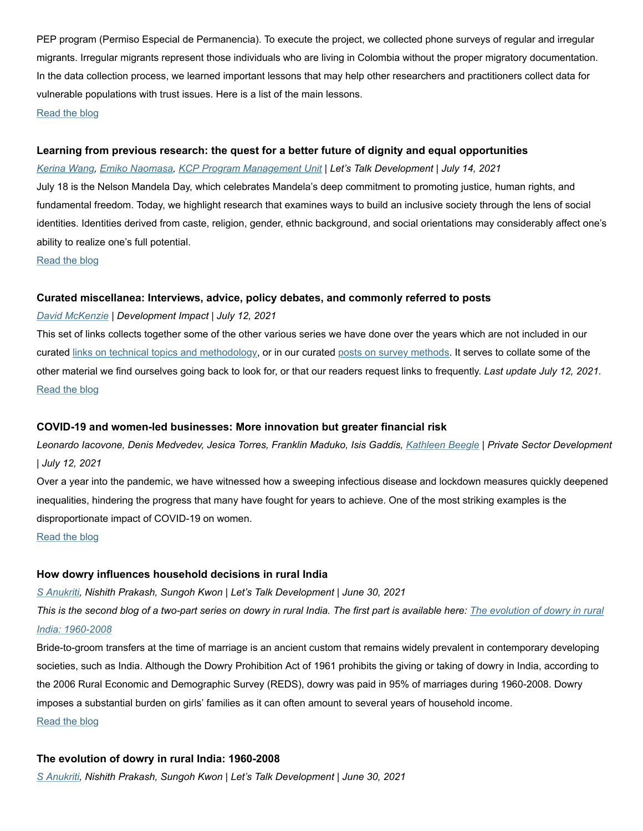PEP program (Permiso Especial de Permanencia). To execute the project, we collected phone surveys of regular and irregular migrants. Irregular migrants represent those individuals who are living in Colombia without the proper migratory documentation. In the data collection process, we learned important lessons that may help other researchers and practitioners collect data for vulnerable populations with trust issues. Here is a list of the main lessons. [Read the blog](http://t.newsletterext.worldbank.org/r/?id=h1282cb18,68a7634,68bd1d6)

#### **Learning from previous research: the quest for a better future of dignity and equal opportunities**

*[Kerina Wang,](http://t.newsletterext.worldbank.org/r/?id=h1282cb18,68a7634,68bd1d7) [Emiko Naomasa](http://t.newsletterext.worldbank.org/r/?id=h1282cb18,68a7634,68bd1d8), [KCP Program Management Unit](http://t.newsletterext.worldbank.org/r/?id=h1282cb18,68a7634,68bd1d9) | Let's Talk Development | July 14, 2021*

July 18 is the Nelson Mandela Day, which celebrates Mandela's deep commitment to promoting justice, human rights, and fundamental freedom. Today, we highlight research that examines ways to build an inclusive society through the lens of social identities. Identities derived from caste, religion, gender, ethnic background, and social orientations may considerably affect one's ability to realize one's full potential.

[Read the blog](http://t.newsletterext.worldbank.org/r/?id=h1282cb18,68a7634,68bd1da)

#### **Curated miscellanea: Interviews, advice, policy debates, and commonly referred to posts**

#### *[David McKenzie](http://t.newsletterext.worldbank.org/r/?id=h1282cb18,68a7634,68bd1db) | Development Impact | July 12, 2021*

This set of links collects together some of the other various series we have done over the years which are not included in our curated [links on technical topics and methodology,](http://t.newsletterext.worldbank.org/r/?id=h1282cb18,68a7634,68bd1dc) or in our curated [posts on survey methods.](http://t.newsletterext.worldbank.org/r/?id=h1282cb18,68a7634,68bd1dd) It serves to collate some of the other material we find ourselves going back to look for, or that our readers request links to frequently. *Last update July 12, 2021.* [Read the blog](http://t.newsletterext.worldbank.org/r/?id=h1282cb18,68a7634,68bd1de)

#### **COVID-19 and women-led businesses: More innovation but greater financial risk**

*Leonardo Iacovone, Denis Medvedev, Jesica Torres, Franklin Maduko, Isis Gaddis, [Kathleen Beegle](http://t.newsletterext.worldbank.org/r/?id=h1282cb18,68a7634,68bd1df) | Private Sector Development | July 12, 2021*

Over a year into the pandemic, we have witnessed how a sweeping infectious disease and lockdown measures quickly deepened inequalities, hindering the progress that many have fought for years to achieve. One of the most striking examples is the disproportionate impact of COVID-19 on women.

[Read the blog](http://t.newsletterext.worldbank.org/r/?id=h1282cb18,68a7634,68bd1e0)

#### **How dowry influences household decisions in rural India**

*[S Anukriti,](http://t.newsletterext.worldbank.org/r/?id=h1282cb18,68a7634,68bd1e1) Nishith Prakash, Sungoh Kwon | Let's Talk Development | June 30, 2021 [This is the second blog of a two-part series on dowry in rural India. The first part is available here:](http://t.newsletterext.worldbank.org/r/?id=h1282cb18,68a7634,68bd1e2) The evolution of dowry in rural India: 1960-2008*

Bride-to-groom transfers at the time of marriage is an ancient custom that remains widely prevalent in contemporary developing societies, such as India. Although the Dowry Prohibition Act of 1961 prohibits the giving or taking of dowry in India, according to the 2006 Rural Economic and Demographic Survey (REDS), dowry was paid in 95% of marriages during 1960-2008. Dowry imposes a substantial burden on girls' families as it can often amount to several years of household income. [Read the blog](http://t.newsletterext.worldbank.org/r/?id=h1282cb18,68a7634,68bd1e3)

#### **The evolution of dowry in rural India: 1960-2008**

*[S Anukriti,](http://t.newsletterext.worldbank.org/r/?id=h1282cb18,68a7634,68bd1e4) Nishith Prakash, Sungoh Kwon | Let's Talk Development | June 30, 2021*